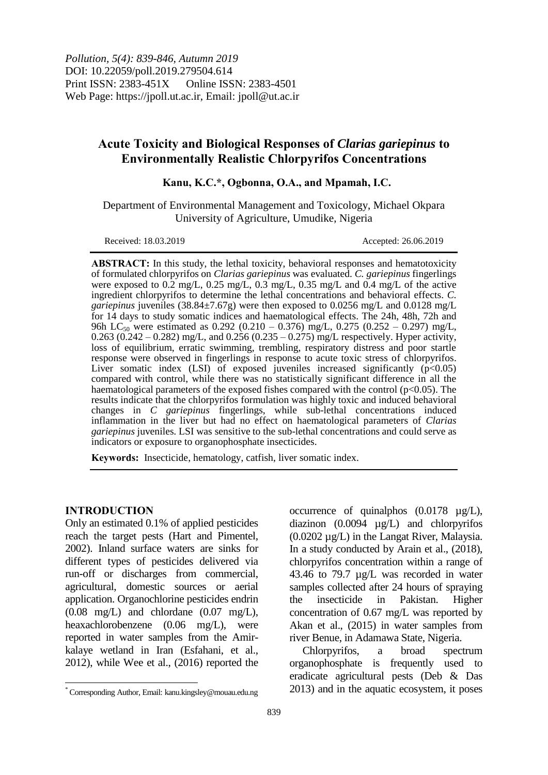*Pollution, 5(4): 839-846, Autumn 2019* DOI: 10.22059/poll.2019.279504.614 Print ISSN: 2383-451X Online ISSN: 2383-4501 Web Page: https://jpoll.ut.ac.ir, Email: jpoll@ut.ac.ir

# **Acute Toxicity and Biological Responses of** *Clarias gariepinus* **to Environmentally Realistic Chlorpyrifos Concentrations**

## **Kanu, K.C.\*, Ogbonna, O.A., and Mpamah, I.C.**

Department of Environmental Management and Toxicology, Michael Okpara University of Agriculture, Umudike, Nigeria

Received: 18.03.2019 Accepted: 26.06.2019

**ABSTRACT:** In this study, the lethal toxicity, behavioral responses and hematotoxicity of formulated chlorpyrifos on *Clarias gariepinus* was evaluated. *C. gariepinus* fingerlings were exposed to 0.2 mg/L, 0.25 mg/L, 0.3 mg/L, 0.35 mg/L and 0.4 mg/L of the active ingredient chlorpyrifos to determine the lethal concentrations and behavioral effects. *C. gariepinus* juveniles (38.84±7.67g) were then exposed to 0.0256 mg/L and 0.0128 mg/L for 14 days to study somatic indices and haematological effects. The 24h, 48h, 72h and 96h LC<sub>50</sub> were estimated as 0.292 (0.210 – 0.376) mg/L, 0.275 (0.252 – 0.297) mg/L, 0.263 (0.242 – 0.282) mg/L, and 0.256 (0.235 – 0.275) mg/L respectively. Hyper activity, loss of equilibrium, erratic swimming, trembling, respiratory distress and poor startle response were observed in fingerlings in response to acute toxic stress of chlorpyrifos. Liver somatic index (LSI) of exposed juveniles increased significantly  $(p<0.05)$ compared with control, while there was no statistically significant difference in all the haematological parameters of the exposed fishes compared with the control ( $p<0.05$ ). The results indicate that the chlorpyrifos formulation was highly toxic and induced behavioral changes in *C gariepinus* fingerlings, while sub-lethal concentrations induced inflammation in the liver but had no effect on haematological parameters of *Clarias gariepinus* juveniles*.* LSI was sensitive to the sub-lethal concentrations and could serve as indicators or exposure to organophosphate insecticides.

**Keywords:** Insecticide, hematology, catfish, liver somatic index.

### **INTRODUCTION**

 $\overline{a}$ 

Only an estimated 0.1% of applied pesticides reach the target pests (Hart and Pimentel, 2002). Inland surface waters are sinks for different types of pesticides delivered via run-off or discharges from commercial, agricultural, domestic sources or aerial application. Organochlorine pesticides endrin  $(0.08 \text{ mg/L})$  and chlordane  $(0.07 \text{ mg/L})$ , heaxachlorobenzene (0.06 mg/L), were reported in water samples from the Amirkalaye wetland in Iran (Esfahani, et al., 2012), while Wee et al., (2016) reported the

occurrence of quinalphos  $(0.0178 \text{ µg/L})$ , diazinon (0.0094 µg/L) and chlorpyrifos (0.0202 µg/L) in the Langat River, Malaysia. In a study conducted by Arain et al., (2018), chlorpyrifos concentration within a range of 43.46 to 79.7 µg/L was recorded in water samples collected after 24 hours of spraying the insecticide in Pakistan. Higher concentration of 0.67 mg/L was reported by Akan et al., (2015) in water samples from river Benue, in Adamawa State, Nigeria.

Chlorpyrifos, a broad spectrum organophosphate is frequently used to eradicate agricultural pests (Deb & Das 2013) and in the aquatic ecosystem, it poses

<sup>\*</sup> Corresponding Author, Email: kanu.kingsley@mouau.edu.ng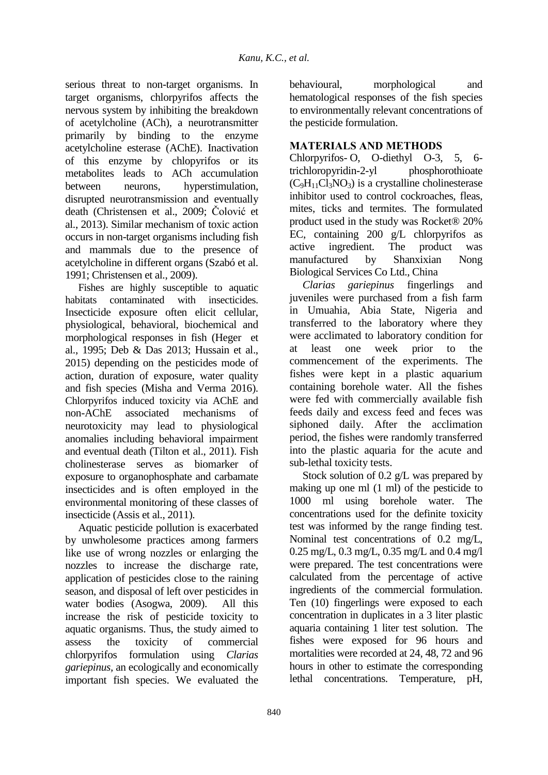serious threat to non-target organisms. In target organisms, chlorpyrifos affects the nervous system by inhibiting the breakdown of acetylcholine (ACh), a neurotransmitter primarily by binding to the enzyme acetylcholine esterase (AChE). Inactivation of this enzyme by chlopyrifos or its metabolites leads to ACh accumulation between neurons, hyperstimulation, disrupted neurotransmission and eventually death (Christensen et al., 2009; Čolović et al., 2013). Similar mechanism of toxic action occurs in non-target organisms including fish and mammals due to the presence of acetylcholine in different organs (Szabó et al. 1991; Christensen et al., 2009).

Fishes are highly susceptible to aquatic habitats contaminated with insecticides. Insecticide exposure often elicit cellular, physiological, behavioral, biochemical and morphological responses in fish (Heger et al., 1995; Deb & Das 2013; Hussain et al., 2015) depending on the pesticides mode of action, duration of exposure, water quality and fish species (Misha and Verma 2016). Chlorpyrifos induced toxicity via AChE and non-AChE associated mechanisms of neurotoxicity may lead to physiological anomalies including behavioral impairment and eventual death (Tilton et al., 2011). Fish cholinesterase serves as biomarker of exposure to organophosphate and carbamate insecticides and is often employed in the environmental monitoring of these classes of insecticide (Assis et al., 2011).

Aquatic pesticide pollution is exacerbated by unwholesome practices among farmers like use of wrong nozzles or enlarging the nozzles to increase the discharge rate, application of pesticides close to the raining season, and disposal of left over pesticides in water bodies (Asogwa, 2009). All this increase the risk of pesticide toxicity to aquatic organisms. Thus, the study aimed to assess the toxicity of commercial chlorpyrifos formulation using *Clarias gariepinus,* an ecologically and economically important fish species. We evaluated the

behavioural, morphological and hematological responses of the fish species to environmentally relevant concentrations of the pesticide formulation.

# **MATERIALS AND METHODS**

Chlorpyrifos- O, O-diethyl O-3, 5, 6 trichloropyridin-2-yl phosphorothioate  $(C_9H_{11}Cl_3NO_3)$  is a crystalline cholinesterase inhibitor used to control cockroaches, fleas, mites, ticks and termites. The formulated product used in the study was Rocket® 20% EC, containing 200 g/L chlorpyrifos as active ingredient. The product was manufactured by Shanxixian Nong Biological Services Co Ltd., China

*Clarias gariepinus* fingerlings and juveniles were purchased from a fish farm in Umuahia, Abia State, Nigeria and transferred to the laboratory where they were acclimated to laboratory condition for at least one week prior to the commencement of the experiments. The fishes were kept in a plastic aquarium containing borehole water. All the fishes were fed with commercially available fish feeds daily and excess feed and feces was siphoned daily. After the acclimation period, the fishes were randomly transferred into the plastic aquaria for the acute and sub-lethal toxicity tests.

Stock solution of 0.2 g/L was prepared by making up one ml (1 ml) of the pesticide to 1000 ml using borehole water. The concentrations used for the definite toxicity test was informed by the range finding test. Nominal test concentrations of 0.2 mg/L, 0.25 mg/L, 0.3 mg/L, 0.35 mg/L and 0.4 mg/l were prepared. The test concentrations were calculated from the percentage of active ingredients of the commercial formulation. Ten (10) fingerlings were exposed to each concentration in duplicates in a 3 liter plastic aquaria containing 1 liter test solution. The fishes were exposed for 96 hours and mortalities were recorded at 24, 48, 72 and 96 hours in other to estimate the corresponding lethal concentrations. Temperature, pH,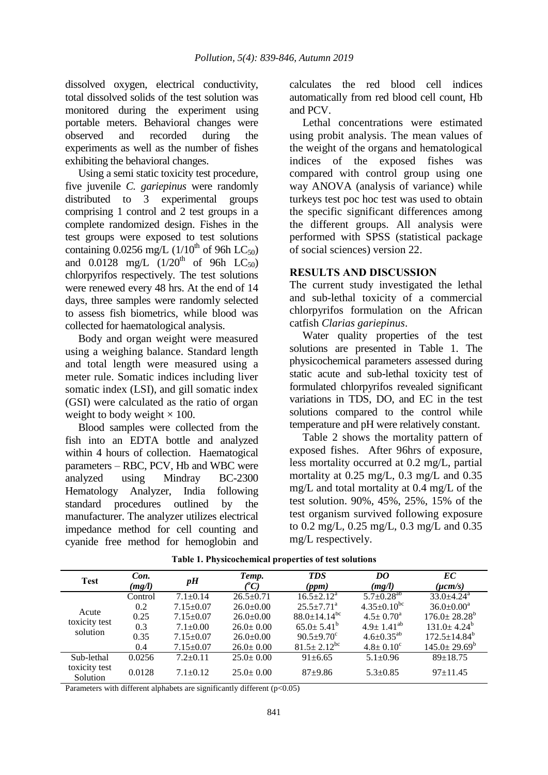dissolved oxygen, electrical conductivity, total dissolved solids of the test solution was monitored during the experiment using portable meters. Behavioral changes were observed and recorded during the experiments as well as the number of fishes exhibiting the behavioral changes.

Using a semi static toxicity test procedure, five juvenile *C. gariepinus* were randomly distributed to 3 experimental groups comprising 1 control and 2 test groups in a complete randomized design. Fishes in the test groups were exposed to test solutions containing 0.0256 mg/L  $(1/10<sup>th</sup>$  of 96h LC<sub>50</sub>) and  $0.0128$  mg/L  $(1/20<sup>th</sup>$  of 96h LC<sub>50</sub>) chlorpyrifos respectively. The test solutions were renewed every 48 hrs. At the end of 14 days, three samples were randomly selected to assess fish biometrics, while blood was collected for haematological analysis.

Body and organ weight were measured using a weighing balance. Standard length and total length were measured using a meter rule. Somatic indices including liver somatic index (LSI), and gill somatic index (GSI) were calculated as the ratio of organ weight to body weight  $\times$  100.

Blood samples were collected from the fish into an EDTA bottle and analyzed within 4 hours of collection. Haematogical parameters – RBC, PCV, Hb and WBC were analyzed using Mindray BC-2300 Hematology Analyzer, India following standard procedures outlined by the manufacturer. The analyzer utilizes electrical impedance method for cell counting and cyanide free method for hemoglobin and calculates the red blood cell indices automatically from red blood cell count, Hb and PCV.

Lethal concentrations were estimated using probit analysis. The mean values of the weight of the organs and hematological indices of the exposed fishes was compared with control group using one way ANOVA (analysis of variance) while turkeys test poc hoc test was used to obtain the specific significant differences among the different groups. All analysis were performed with SPSS (statistical package of social sciences) version 22.

## **RESULTS AND DISCUSSION**

The current study investigated the lethal and sub-lethal toxicity of a commercial chlorpyrifos formulation on the African catfish *Clarias gariepinus*.

Water quality properties of the test solutions are presented in Table 1. The physicochemical parameters assessed during static acute and sub-lethal toxicity test of formulated chlorpyrifos revealed significant variations in TDS, DO, and EC in the test solutions compared to the control while temperature and pH were relatively constant.

Table 2 shows the mortality pattern of exposed fishes. After 96hrs of exposure, less mortality occurred at 0.2 mg/L, partial mortality at 0.25 mg/L, 0.3 mg/L and 0.35 mg/L and total mortality at 0.4 mg/L of the test solution. 90%, 45%, 25%, 15% of the test organism survived following exposure to 0.2 mg/L, 0.25 mg/L, 0.3 mg/L and 0.35 mg/L respectively.

| <b>Test</b>                        | Con.<br>(mg/l) | pH              | Temp.<br>$({}^oC)$ | <b>TDS</b><br>(ppm)           | $\bm{DO}$<br>(mg/l)    | EC<br>$(\mu$ cm/s $)$      |
|------------------------------------|----------------|-----------------|--------------------|-------------------------------|------------------------|----------------------------|
|                                    |                |                 |                    |                               |                        |                            |
|                                    | Control        | $7.1 \pm 0.14$  | $26.5 \pm 0.71$    | $16.5 + 2.12^a$               | $5.7 \pm 0.28^{ab}$    | $33.0 + 4.24$ <sup>a</sup> |
|                                    | 0.2            | $7.15 \pm 0.07$ | $26.0 \pm 0.00$    | $25.5 \pm 7.71^{\circ}$       | $4.35 \pm 0.10^{bc}$   | $36.0 \pm 0.00^a$          |
| Acute<br>toxicity test<br>solution | 0.25           | $7.15 \pm 0.07$ | $26.0+0.00$        | $88.0 \pm 14.14^{bc}$         | $4.5 \pm 0.70^{\circ}$ | $176.0 \pm 28.28^b$        |
|                                    | 0.3            | $7.1 \pm 0.00$  | $26.0 \pm 0.00$    | $65.0 \pm 5.41^{\circ}$       | $4.9 \pm 1.41^{ab}$    | $131.0 \pm 4.24^b$         |
|                                    | 0.35           | $7.15 \pm 0.07$ | $26.0 \pm 0.00$    | $90.5 + 9.70^{\circ}$         | $4.6 \pm 0.35^{ab}$    | $172.5 \pm 14.84^b$        |
|                                    | 0.4            | $7.15 \pm 0.07$ | $26.0 \pm 0.00$    | $81.5 \pm 2.12$ <sup>bc</sup> | $4.8 \pm 0.10^c$       | $145.0 \pm 29.69^{\rm b}$  |
| Sub-lethal                         | 0.0256         | $7.2+0.11$      | $25.0 \pm 0.00$    | $91 \pm 6.65$                 | $5.1 \pm 0.96$         | $89+18.75$                 |
| toxicity test<br>Solution          | 0.0128         | $7.1 \pm 0.12$  | $25.0 \pm 0.00$    | $87+9.86$                     | $5.3 \pm 0.85$         | $97 \pm 11.45$             |

**Table 1. Physicochemical properties of test solutions** 

Parameters with different alphabets are significantly different (p<0.05)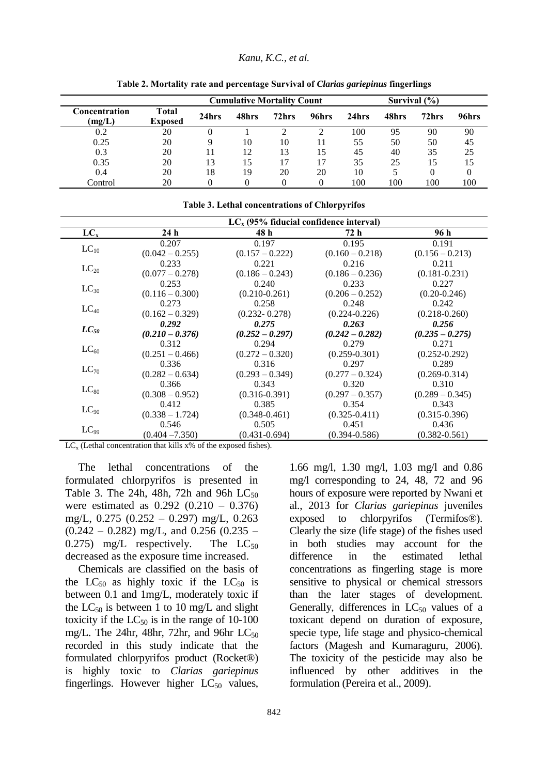|                                |                                | <b>Cumulative Mortality Count</b> |       |       | Survival $(\% )$ |       |       |       |       |
|--------------------------------|--------------------------------|-----------------------------------|-------|-------|------------------|-------|-------|-------|-------|
| <b>Concentration</b><br>(mg/L) | <b>Total</b><br><b>Exposed</b> | 24hrs                             | 48hrs | 72hrs | 96hrs            | 24hrs | 48hrs | 72hrs | 96hrs |
| 0.2                            | 20                             |                                   |       |       | ∍                | 100   | 95    | 90    | 90    |
| 0.25                           | 20                             | Q                                 | 10    | 10    |                  | 55    | 50    | 50    | 45    |
| 0.3                            | 20                             | 11                                | 12    | 13    | 15               | 45    | 40    | 35    | 25    |
| 0.35                           | 20                             | 13                                | 15    | 17    | 17               | 35    | 25    | 15    | 15    |
| 0.4                            | 20                             | 18                                | 19    | 20    | 20               | 10    |       |       |       |
| Control                        | 20                             |                                   |       |       |                  | 100   | 100   | 100   | 100   |

**Table 2. Mortality rate and percentage Survival of** *Clarias gariepinus* **fingerlings** 

|           | $LCx$ (95% fiducial confidence interval) |                   |                   |                   |  |  |
|-----------|------------------------------------------|-------------------|-------------------|-------------------|--|--|
| $LC_{x}$  | 24 <sub>h</sub>                          | 48 h              | 72 h              | 96 h              |  |  |
| $LC_{10}$ | 0.207                                    | 0.197             | 0.195             | 0.191             |  |  |
|           | $(0.042 - 0.255)$                        | $(0.157 - 0.222)$ | $(0.160 - 0.218)$ | $(0.156 - 0.213)$ |  |  |
| $LC_{20}$ | 0.233                                    | 0.221             | 0.216             | 0.211             |  |  |
|           | $(0.077 - 0.278)$                        | $(0.186 - 0.243)$ | $(0.186 - 0.236)$ | $(0.181 - 0.231)$ |  |  |
| $LC_{30}$ | 0.253                                    | 0.240             | 0.233             | 0.227             |  |  |
|           | $(0.116 - 0.300)$                        | $(0.210 - 0.261)$ | $(0.206 - 0.252)$ | $(0.20 - 0.246)$  |  |  |
| $LC_{40}$ | 0.273                                    | 0.258             | 0.248             | 0.242             |  |  |
|           | $(0.162 - 0.329)$                        | $(0.232 - 0.278)$ | $(0.224 - 0.226)$ | $(0.218 - 0.260)$ |  |  |
| $LC_{50}$ | 0.292                                    | 0.275             | 0.263             | 0.256             |  |  |
|           | $(0.210 - 0.376)$                        | $(0.252 - 0.297)$ | $(0.242 - 0.282)$ | $(0.235 - 0.275)$ |  |  |
| $LC_{60}$ | 0.312                                    | 0.294             | 0.279             | 0.271             |  |  |
|           | $(0.251 - 0.466)$                        | $(0.272 - 0.320)$ | $(0.259 - 0.301)$ | $(0.252 - 0.292)$ |  |  |
| $LC_{70}$ | 0.336                                    | 0.316             | 0.297             | 0.289             |  |  |
|           | $(0.282 - 0.634)$                        | $(0.293 - 0.349)$ | $(0.277 - 0.324)$ | $(0.269 - 0.314)$ |  |  |
| $LC_{80}$ | 0.366                                    | 0.343             | 0.320             | 0.310             |  |  |
|           | $(0.308 - 0.952)$                        | $(0.316 - 0.391)$ | $(0.297 - 0.357)$ | $(0.289 - 0.345)$ |  |  |
| $LC_{90}$ | 0.412                                    | 0.385             | 0.354             | 0.343             |  |  |
|           | $(0.338 - 1.724)$                        | $(0.348 - 0.461)$ | $(0.325 - 0.411)$ | $(0.315 - 0.396)$ |  |  |
|           | 0.546                                    | 0.505             | 0.451             | 0.436             |  |  |
| $LC_{99}$ | $(0.404 - 7.350)$                        | $(0.431 - 0.694)$ | $(0.394 - 0.586)$ | $(0.382 - 0.561)$ |  |  |

**Table 3. Lethal concentrations of Chlorpyrifos** 

 $LC_x$  (Lethal concentration that kills  $x\%$  of the exposed fishes).

The lethal concentrations of the formulated chlorpyrifos is presented in Table 3. The 24h, 48h, 72h and 96h  $LC_{50}$ were estimated as 0.292 (0.210 – 0.376) mg/L, 0.275 (0.252 – 0.297) mg/L, 0.263  $(0.242 - 0.282)$  mg/L, and 0.256  $(0.235 -$ 0.275) mg/L respectively. The  $LC_{50}$ decreased as the exposure time increased.

Chemicals are classified on the basis of the  $LC_{50}$  as highly toxic if the  $LC_{50}$  is between 0.1 and 1mg/L, moderately toxic if the  $LC_{50}$  is between 1 to 10 mg/L and slight toxicity if the  $LC_{50}$  is in the range of 10-100 mg/L. The 24hr, 48hr, 72hr, and 96hr  $LC_{50}$ recorded in this study indicate that the formulated chlorpyrifos product (Rocket®) is highly toxic to *Clarias gariepinus*  fingerlings. However higher  $LC_{50}$  values,

1.66 mg/l, 1.30 mg/l, 1.03 mg/l and 0.86 mg/l corresponding to 24, 48, 72 and 96 hours of exposure were reported by Nwani et al., 2013 for *Clarias gariepinus* juveniles exposed to chlorpyrifos (Termifos®). Clearly the size (life stage) of the fishes used in both studies may account for the difference in the estimated lethal concentrations as fingerling stage is more sensitive to physical or chemical stressors than the later stages of development. Generally, differences in  $LC_{50}$  values of a toxicant depend on duration of exposure, specie type, life stage and physico-chemical factors (Magesh and Kumaraguru, 2006). The toxicity of the pesticide may also be influenced by other additives in the formulation (Pereira et al., 2009).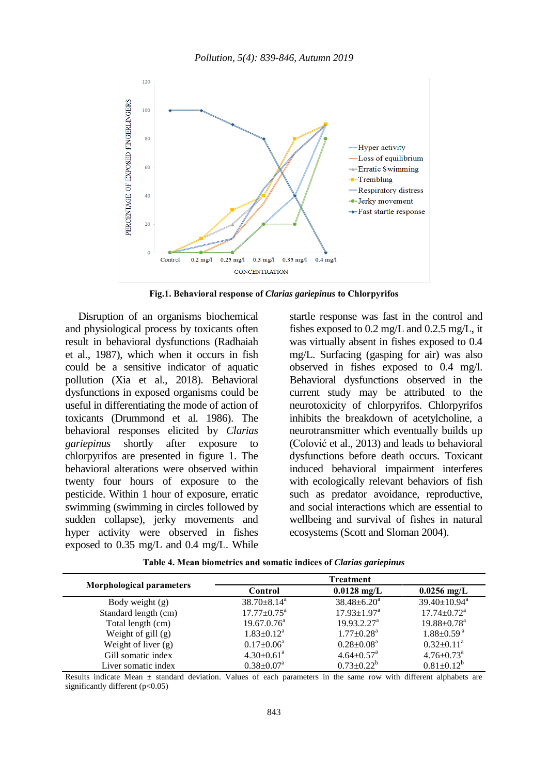

**Fig.1. Behavioral response of** *Clarias gariepinus* **to Chlorpyrifos** 

Disruption of an organisms biochemical and physiological process by toxicants often result in behavioral dysfunctions (Radhaiah et al., 1987), which when it occurs in fish could be a sensitive indicator of aquatic pollution (Xia et al., 2018). Behavioral dysfunctions in exposed organisms could be useful in differentiating the mode of action of toxicants (Drummond et al. 1986). The behavioral responses elicited by *Clarias gariepinus* shortly after exposure to chlorpyrifos are presented in figure 1. The behavioral alterations were observed within twenty four hours of exposure to the pesticide. Within 1 hour of exposure, erratic swimming (swimming in circles followed by sudden collapse), jerky movements and hyper activity were observed in fishes exposed to 0.35 mg/L and 0.4 mg/L. While

startle response was fast in the control and fishes exposed to 0.2 mg/L and 0.2.5 mg/L, it was virtually absent in fishes exposed to 0.4 mg/L. Surfacing (gasping for air) was also observed in fishes exposed to 0.4 mg/l. Behavioral dysfunctions observed in the current study may be attributed to the neurotoxicity of chlorpyrifos. Chlorpyrifos inhibits the breakdown of acetylcholine, a neurotransmitter which eventually builds up (Colović et al., 2013) and leads to behavioral dysfunctions before death occurs. Toxicant induced behavioral impairment interferes with ecologically relevant behaviors of fish such as predator avoidance, reproductive, and social interactions which are essential to wellbeing and survival of fishes in natural ecosystems (Scott and Sloman 2004).

**Table 4. Mean biometrics and somatic indices of** *Clarias gariepinus*

|                                 | <b>Treatment</b>            |                              |                               |  |  |
|---------------------------------|-----------------------------|------------------------------|-------------------------------|--|--|
| <b>Morphological parameters</b> | Control                     | $0.0128$ mg/L                | $0.0256$ mg/L                 |  |  |
| Body weight $(g)$               | $38.70 + 8.14^a$            | $38.48 \pm 6.20^a$           | $39.40 \pm 10.94^{\text{a}}$  |  |  |
| Standard length (cm)            | $17.77 \pm 0.75^{\text{a}}$ | $17.93 \pm 1.97^{\text{a}}$  | $17.74 \pm 0.72$ <sup>a</sup> |  |  |
| Total length (cm)               | $19.67.0.76^a$              | 19.93.2.27 <sup>a</sup>      | $19.88 \pm 0.78$ <sup>a</sup> |  |  |
| Weight of gill $(g)$            | $1.83 \pm 0.12^a$           | $1.77 \pm 0.28$ <sup>a</sup> | $1.88 \pm 0.59$ <sup>a</sup>  |  |  |
| Weight of liver $(g)$           | $0.17 \pm 0.06^{\text{a}}$  | $0.28 \pm 0.08^a$            | $0.32 \pm 0.11^a$             |  |  |
| Gill somatic index              | $4.30 \pm 0.61^a$           | $4.64 \pm 0.57$ <sup>a</sup> | $4.76 \pm 0.73$ <sup>a</sup>  |  |  |
| Liver somatic index             | $0.38 \pm 0.07^{\text{a}}$  | $0.73 \pm 0.22^b$            | $0.81 \pm 0.12^b$             |  |  |

Results indicate Mean ± standard deviation. Values of each parameters in the same row with different alphabets are significantly different (p<0.05)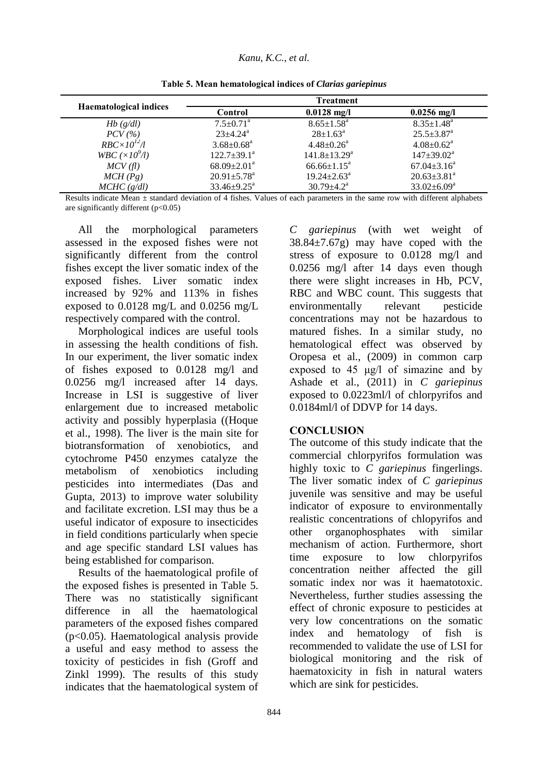|                               | <b>Treatment</b>              |                             |                              |  |  |  |
|-------------------------------|-------------------------------|-----------------------------|------------------------------|--|--|--|
| <b>Haematological indices</b> | Control                       | $0.0128$ mg/l               | $0.0256$ mg/l                |  |  |  |
| Hb(g/dl)                      | $7.5 \pm 0.71$ <sup>a</sup>   | $8.65 \pm 1.58^{\text{a}}$  | $8.35 \pm 1.48^a$            |  |  |  |
| $PCV$ (%)                     | $23 \pm 4.24$ <sup>a</sup>    | $28 \pm 1.63^{\circ}$       | $25.5 \pm 3.87$ <sup>a</sup> |  |  |  |
| $RBC \times 10^{12}$ /l       | $3.68 \pm 0.68^a$             | $4.48 \pm 0.26^a$           | $4.08 \pm 0.62^{\text{a}}$   |  |  |  |
| WBC $(\times 10^9\text{/})$   | $122.7 \pm 39.1^a$            | $141.8 \pm 13.29^a$         | $147 \pm 39.02^{\text{a}}$   |  |  |  |
| $MCV$ (fl)                    | $68.09 + 2.01^a$              | $66.66 \pm 1.15^a$          | $67.04 \pm 3.16^a$           |  |  |  |
| MCH(Pg)                       | $20.91 \pm 5.78$ <sup>a</sup> | $19.24 \pm 2.63^{\text{a}}$ | $20.63 \pm 3.81^a$           |  |  |  |
| MCHC (g/dl)                   | $33.46 \pm 9.25$ <sup>a</sup> | $30.79 + 4.2^a$             | $33.02 \pm 6.09^{\text{a}}$  |  |  |  |

**Table 5. Mean hematological indices of** *Clarias gariepinus*

Results indicate Mean  $\pm$  standard deviation of 4 fishes. Values of each parameters in the same row with different alphabets are significantly different  $(p<0.05)$ 

All the morphological parameters assessed in the exposed fishes were not significantly different from the control fishes except the liver somatic index of the exposed fishes. Liver somatic index increased by 92% and 113% in fishes exposed to 0.0128 mg/L and 0.0256 mg/L respectively compared with the control.

Morphological indices are useful tools in assessing the health conditions of fish. In our experiment, the liver somatic index of fishes exposed to 0.0128 mg/l and 0.0256 mg/l increased after 14 days. Increase in LSI is suggestive of liver enlargement due to increased metabolic activity and possibly hyperplasia ((Hoque et al., 1998). The liver is the main site for biotransformation of xenobiotics, and cytochrome P450 enzymes catalyze the metabolism of xenobiotics including pesticides into intermediates (Das and Gupta, 2013) to improve water solubility and facilitate excretion. LSI may thus be a useful indicator of exposure to insecticides in field conditions particularly when specie and age specific standard LSI values has being established for comparison.

Results of the haematological profile of the exposed fishes is presented in Table 5. There was no statistically significant difference in all the haematological parameters of the exposed fishes compared (p<0.05). Haematological analysis provide a useful and easy method to assess the toxicity of pesticides in fish (Groff and Zinkl 1999). The results of this study indicates that the haematological system of

*C gariepinus* (with wet weight of 38.84±7.67g) may have coped with the stress of exposure to 0.0128 mg/l and 0.0256 mg/l after 14 days even though there were slight increases in Hb, PCV, RBC and WBC count. This suggests that environmentally relevant pesticide concentrations may not be hazardous to matured fishes. In a similar study, no hematological effect was observed by Oropesa et al., (2009) in common carp exposed to 45 μg/l of simazine and by Ashade et al., (2011) in *C gariepinus* exposed to 0.0223ml/l of chlorpyrifos and 0.0184ml/l of DDVP for 14 days.

### **CONCLUSION**

The outcome of this study indicate that the commercial chlorpyrifos formulation was highly toxic to *C gariepinus* fingerlings. The liver somatic index of *C gariepinus*  juvenile was sensitive and may be useful indicator of exposure to environmentally realistic concentrations of chlopyrifos and other organophosphates with similar mechanism of action. Furthermore, short time exposure to low chlorpyrifos concentration neither affected the gill somatic index nor was it haematotoxic. Nevertheless, further studies assessing the effect of chronic exposure to pesticides at very low concentrations on the somatic index and hematology of fish is recommended to validate the use of LSI for biological monitoring and the risk of haematoxicity in fish in natural waters which are sink for pesticides.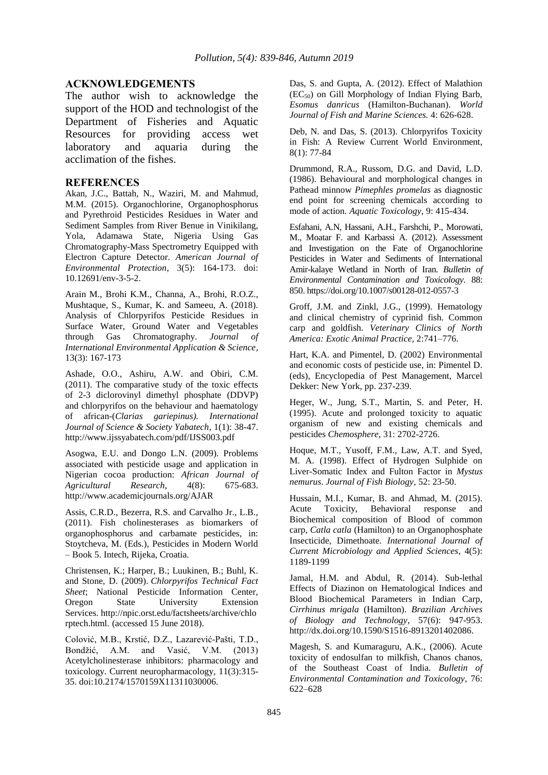#### **ACKNOWLEDGEMENTS**

The author wish to acknowledge the support of the HOD and technologist of the Department of Fisheries and Aquatic Resources for providing access wet laboratory and aquaria during the acclimation of the fishes.

#### **REFERENCES**

Akan, J.C., Battah, N., Waziri, M. and Mahmud, M.M. (2015). Organochlorine, Organophosphorus and Pyrethroid Pesticides Residues in Water and Sediment Samples from River Benue in Vinikilang, Yola, Adamawa State, Nigeria Using Gas Chromatography-Mass Spectrometry Equipped with Electron Capture Detector. *American Journal of Environmental Protection,* 3(5): 164-173. doi: 10.12691/env-3-5-2.

Arain M., Brohi K.M., Channa, A., Brohi, R.O.Z., Mushtaque, S., Kumar, K. and Sameeu, A. (2018). Analysis of Chlorpyrifos Pesticide Residues in Surface Water, Ground Water and Vegetables<br>through Gas Chromatography. Journal of through Gas Chromatography. *Journal of International Environmental Application & Science,*  13(3): 167-173

Ashade, O.O., Ashiru, A.W. and Obiri, C.M. (2011). The comparative study of the toxic effects of 2-3 diclorovinyl dimethyl phosphate (DDVP) and chlorpyrifos on the behaviour and haematology of african-(*Clarias gariepinus). International Journal of Science & Society Yabatech,* 1(1): 38-47. http://www.ijssyabatech.com/pdf/IJSS003.pdf

Asogwa, E.U. and Dongo L.N. (2009). Problems associated with pesticide usage and application in Nigerian cocoa production: *African Journal of Agricultural Research,* 4(8): 675-683. http://www.academicjournals.org/AJAR

Assis, C.R.D., Bezerra, R.S. and Carvalho Jr., L.B., (2011). Fish cholinesterases as biomarkers of organophosphorus and carbamate pesticides, in: Stoytcheva, M. (Eds.), Pesticides in Modern World – Book 5. Intech, Rijeka, Croatia.

Christensen, K.; Harper, B.; Luukinen, B.; Buhl, K. and Stone, D. (2009). *Chlorpyrifos Technical Fact Sheet*; National Pesticide Information Center, Oregon State University Extension Services. http://npic.orst.edu/factsheets/archive/chlo rptech.html. (accessed 15 June 2018).

Colović, M.B., Krstić, D.Z., Lazarević-Pašti, T.D., Bondžić, A.M. and Vasić, V.M. (2013) Acetylcholinesterase inhibitors: pharmacology and toxicology. Current neuropharmacology*,* 11(3):315- 35. doi:10.2174/1570159X11311030006.

Das, S. and Gupta, A. (2012). Effect of Malathion  $(EC_{50})$  on Gill Morphology of Indian Flying Barb, *Esomus danricus* (Hamilton-Buchanan). *World Journal of Fish and Marine Sciences.* 4: 626-628.

Deb, N. and Das, S. (2013). Chlorpyrifos Toxicity in Fish: A Review Current World Environment, 8(1): 77-84

Drummond, R.A., Russom, D.G. and David, L.D. (1986). Behavioural and morphological changes in Pathead minnow *Pimephles promelas* as diagnostic end point for screening chemicals according to mode of action. *Aquatic Toxicology*, 9: 415-434.

Esfahani, A.N, Hassani, A.H., Farshchi, P., Morowati, M., Moatar F. and Karbassi A. (2012). Assessment and Investigation on the Fate of Organochlorine Pesticides in Water and Sediments of International Amir-kalaye Wetland in North of Iran. *Bulletin of Environmental Contamination and Toxicology*. 88: 850. https://doi.org/10.1007/s00128-012-0557-3

Groff, J.M. and Zinkl, J.G., (1999). Hematology and clinical chemistry of cyprinid fish. Common carp and goldfish. *Veterinary Clinics of North America: Exotic Animal Practice*, 2:741–776.

Hart, K.A. and Pimentel, D. (2002) Environmental and economic costs of pesticide use, in: Pimentel D. (eds), Encyclopedia of Pest Management, Marcel Dekker: New York, pp. 237-239.

Heger, W., Jung, S.T., Martin, S. and Peter, H. (1995). Acute and prolonged toxicity to aquatic organism of new and existing chemicals and pesticides *Chemosphere*, 31: 2702-2726.

Hoque, M.T., Yusoff, F.M., Law, A.T. and Syed, M. A. (1998). Effect of Hydrogen Sulphide on Liver-Somatic Index and Fulton Factor in *Mystus nemurus*. *Journal of Fish Biology*, 52: 23-50.

Hussain, M.I., Kumar, B. and Ahmad, M. (2015). Acute Toxicity, Behavioral response and Biochemical composition of Blood of common carp, *Catla catla* (Hamilton) to an Organophosphate Insecticide, Dimethoate*. International Journal of Current Microbiology and Applied Sciences*, 4(5): 1189-1199

Jamal, H.M. and Abdul, R. (2014). Sub-lethal Effects of Diazinon on Hematological Indices and Blood Biochemical Parameters in Indian Carp, *Cirrhinus mrigala* (Hamilton). *Brazilian Archives of Biology and Technology*, 57(6): 947-953. http://dx.doi.org/10.1590/S1516-8913201402086.

Magesh, S. and Kumaraguru, A.K., (2006). Acute toxicity of endosulfan to milkfish, Chanos chanos, of the Southeast Coast of India. *Bulletin of Environmental Contamination and Toxicology*, 76: 622–628